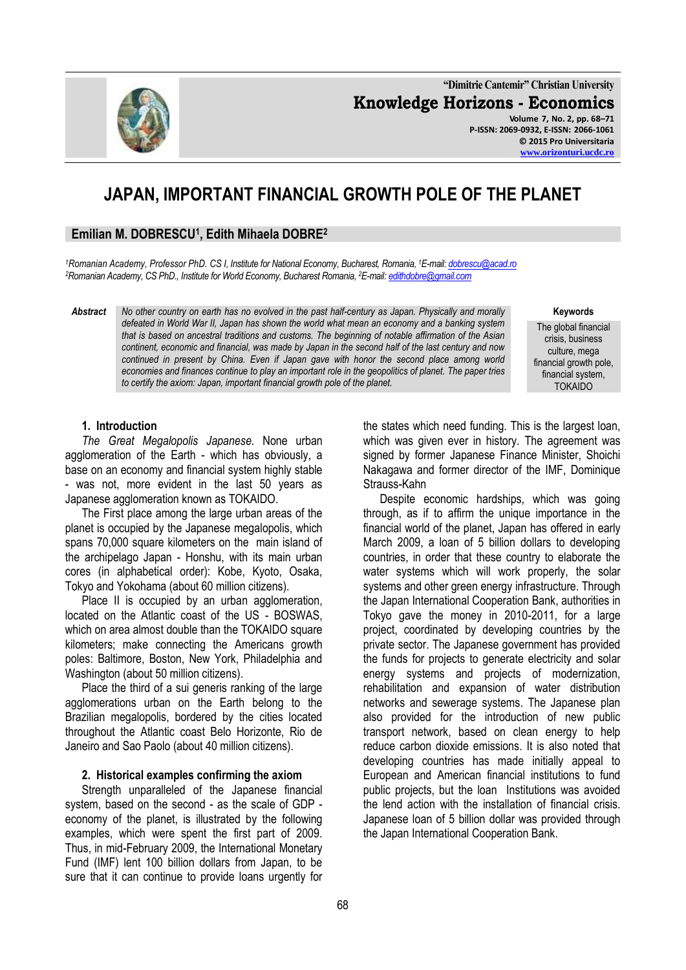68

**"Dimitrie Cantemir" Christian University Knowledge Horizons - Economics Volume 7, No. 2, pp. 68–71 P-ISSN: 2069-0932, E-ISSN: 2066-1061**

**© 2015 Pro Universitaria [www.orizonturi.ucdc.ro](http://www.orizonturi.ucdc.ro/)**

# **JAPAN, IMPORTANT FINANCIAL GROWTH POLE OF THE PLANET**

## **Emilian M. DOBRESCU<sup>1</sup> , Edith Mihaela DOBRE<sup>2</sup>**

*<sup>1</sup>Romanian Academy, Professor PhD. CS I, Institute for National Economy, Bucharest, Romania, <sup>1</sup>E-mail[: dobrescu@acad.ro](mailto:dobrescu@acad.ro) <sup>2</sup>Romanian Academy, CS PhD., Institute for World Economy, Bucharest Romania, <sup>2</sup>E-mail[: edithdobre@gmail.com](mailto:edithdobre@gmail.com)*

*Abstract No other country on earth has no evolved in the past half-century as Japan. Physically and morally defeated in World War II, Japan has shown the world what mean an economy and a banking system that is based on ancestral traditions and customs. The beginning of notable affirmation of the Asian continent, economic and financial, was made by Japan in the second half of the last century and now continued in present by China. Even if Japan gave with honor the second place among world economies and finances continue to play an important role in the geopolitics of planet. The paper tries to certify the axiom: Japan, important financial growth pole of the planet.*

## **1. Introduction**

*The Great Megalopolis Japanese.* None urban agglomeration of the Earth - which has obviously, a base on an economy and financial system highly stable - was not, more evident in the last 50 years as Japanese agglomeration known as TOKAIDO.

The First place among the large urban areas of the planet is occupied by the Japanese megalopolis, which spans 70,000 square kilometers on the main island of the archipelago Japan - Honshu, with its main urban cores (in alphabetical order): Kobe, Kyoto, Osaka, Tokyo and Yokohama (about 60 million citizens).

Place II is occupied by an urban agglomeration, located on the Atlantic coast of the US - BOSWAS, which on area almost double than the TOKAIDO square kilometers; make connecting the Americans growth poles: Baltimore, Boston, New York, Philadelphia and Washington (about 50 million citizens).

Place the third of a sui generis ranking of the large agglomerations urban on the Earth belong to the Brazilian megalopolis, bordered by the cities located throughout the Atlantic coast Belo Horizonte, Rio de Janeiro and Sao Paolo (about 40 million citizens).

#### **2. Historical examples confirming the axiom**

Strength unparalleled of the Japanese financial system, based on the second - as the scale of GDP economy of the planet, is illustrated by the following examples, which were spent the first part of 2009. Thus, in mid-February 2009, the International Monetary Fund (IMF) lent 100 billion dollars from Japan, to be sure that it can continue to provide loans urgently for

the states which need funding. This is the largest loan, which was given ever in history. The agreement was signed by former Japanese Finance Minister, Shoichi Nakagawa and former director of the IMF, Dominique Strauss-Kahn

Despite economic hardships, which was going through, as if to affirm the unique importance in the financial world of the planet, Japan has offered in early March 2009, a loan of 5 billion dollars to developing countries, in order that these country to elaborate the water systems which will work properly, the solar systems and other green energy infrastructure. Through the Japan International Cooperation Bank, authorities in Tokyo gave the money in 2010-2011, for a large project, coordinated by developing countries by the private sector. The Japanese government has provided the funds for projects to generate electricity and solar energy systems and projects of modernization, rehabilitation and expansion of water distribution networks and sewerage systems. The Japanese plan also provided for the introduction of new public transport network, based on clean energy to help reduce carbon dioxide emissions. It is also noted that developing countries has made initially appeal to European and American financial institutions to fund public projects, but the loan Institutions was avoided the lend action with the installation of financial crisis. Japanese loan of 5 billion dollar was provided through the Japan International Cooperation Bank.



**Keywords** The global financial

crisis, business culture, mega financial growth pole, financial system, TOKAIDO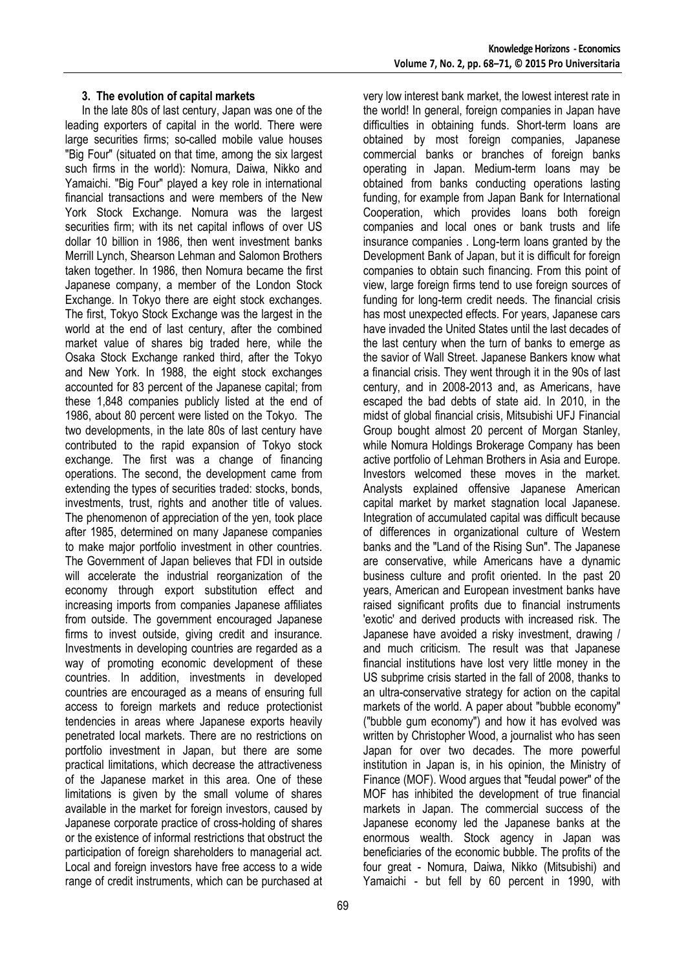In the late 80s of last century, Japan was one of the leading exporters of capital in the world. There were large securities firms; so-called mobile value houses "Big Four" (situated on that time, among the six largest such firms in the world): Nomura, Daiwa, Nikko and Yamaichi. "Big Four" played a key role in international financial transactions and were members of the New York Stock Exchange. Nomura was the largest securities firm; with its net capital inflows of over US dollar 10 billion in 1986, then went investment banks Merrill Lynch, Shearson Lehman and Salomon Brothers taken together. In 1986, then Nomura became the first Japanese company, a member of the London Stock Exchange. In Tokyo there are eight stock exchanges. The first, Tokyo Stock Exchange was the largest in the world at the end of last century, after the combined market value of shares big traded here, while the Osaka Stock Exchange ranked third, after the Tokyo and New York. In 1988, the eight stock exchanges accounted for 83 percent of the Japanese capital; from these 1,848 companies publicly listed at the end of 1986, about 80 percent were listed on the Tokyo. The two developments, in the late 80s of last century have contributed to the rapid expansion of Tokyo stock exchange. The first was a change of financing operations. The second, the development came from extending the types of securities traded: stocks, bonds, investments, trust, rights and another title of values. The phenomenon of appreciation of the yen, took place after 1985, determined on many Japanese companies to make major portfolio investment in other countries. The Government of Japan believes that FDI in outside will accelerate the industrial reorganization of the economy through export substitution effect and increasing imports from companies Japanese affiliates from outside. The government encouraged Japanese firms to invest outside, giving credit and insurance. Investments in developing countries are regarded as a way of promoting economic development of these countries. In addition, investments in developed countries are encouraged as a means of ensuring full access to foreign markets and reduce protectionist tendencies in areas where Japanese exports heavily penetrated local markets. There are no restrictions on portfolio investment in Japan, but there are some practical limitations, which decrease the attractiveness of the Japanese market in this area. One of these limitations is given by the small volume of shares available in the market for foreign investors, caused by Japanese corporate practice of cross-holding of shares or the existence of informal restrictions that obstruct the participation of foreign shareholders to managerial act. Local and foreign investors have free access to a wide range of credit instruments, which can be purchased at very low interest bank market, the lowest interest rate in the world! In general, foreign companies in Japan have difficulties in obtaining funds. Short-term loans are obtained by most foreign companies, Japanese commercial banks or branches of foreign banks operating in Japan. Medium-term loans may be obtained from banks conducting operations lasting funding, for example from Japan Bank for International Cooperation, which provides loans both foreign companies and local ones or bank trusts and life insurance companies . Long-term loans granted by the Development Bank of Japan, but it is difficult for foreign companies to obtain such financing. From this point of view, large foreign firms tend to use foreign sources of funding for long-term credit needs. The financial crisis has most unexpected effects. For years, Japanese cars have invaded the United States until the last decades of the last century when the turn of banks to emerge as the savior of Wall Street. Japanese Bankers know what a financial crisis. They went through it in the 90s of last century, and in 2008-2013 and, as Americans, have escaped the bad debts of state aid. In 2010, in the midst of global financial crisis, Mitsubishi UFJ Financial Group bought almost 20 percent of Morgan Stanley, while Nomura Holdings Brokerage Company has been active portfolio of Lehman Brothers in Asia and Europe. Investors welcomed these moves in the market. Analysts explained offensive Japanese American capital market by market stagnation local Japanese. Integration of accumulated capital was difficult because of differences in organizational culture of Western banks and the "Land of the Rising Sun". The Japanese are conservative, while Americans have a dynamic business culture and profit oriented. In the past 20 years, American and European investment banks have raised significant profits due to financial instruments 'exotic' and derived products with increased risk. The Japanese have avoided a risky investment, drawing / and much criticism. The result was that Japanese financial institutions have lost very little money in the US subprime crisis started in the fall of 2008, thanks to an ultra-conservative strategy for action on the capital markets of the world. A paper about "bubble economy" ("bubble gum economy") and how it has evolved was written by Christopher Wood, a journalist who has seen Japan for over two decades. The more powerful institution in Japan is, in his opinion, the Ministry of Finance (MOF). Wood argues that "feudal power" of the MOF has inhibited the development of true financial markets in Japan. The commercial success of the Japanese economy led the Japanese banks at the enormous wealth. Stock agency in Japan was beneficiaries of the economic bubble. The profits of the four great - Nomura, Daiwa, Nikko (Mitsubishi) and Yamaichi - but fell by 60 percent in 1990, with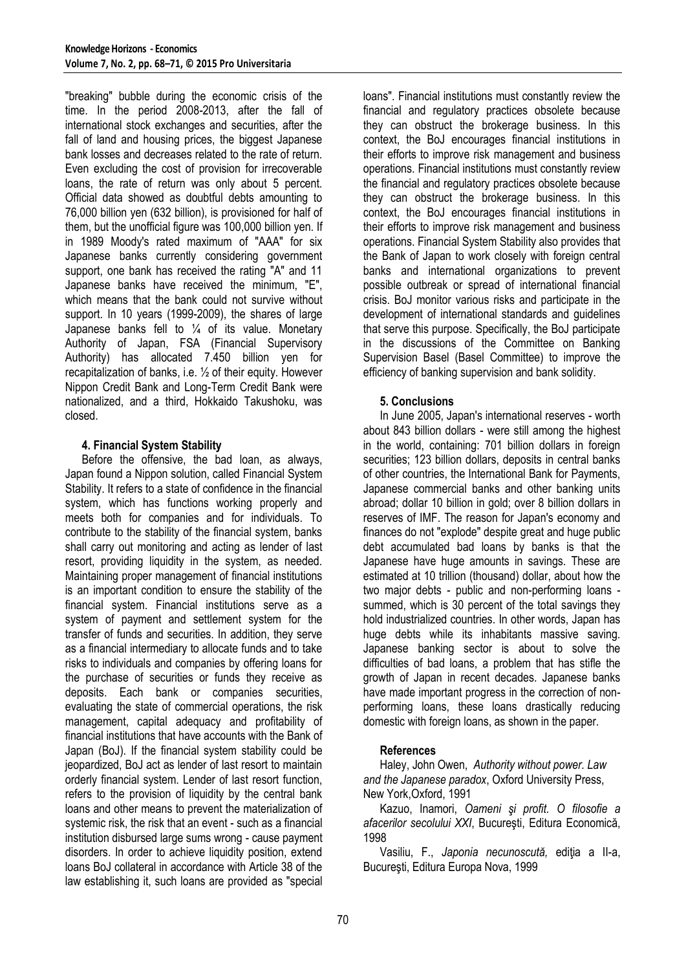"breaking" bubble during the economic crisis of the time. In the period 2008-2013, after the fall of international stock exchanges and securities, after the fall of land and housing prices, the biggest Japanese bank losses and decreases related to the rate of return. Even excluding the cost of provision for irrecoverable loans, the rate of return was only about 5 percent. Official data showed as doubtful debts amounting to 76,000 billion yen (632 billion), is provisioned for half of them, but the unofficial figure was 100,000 billion yen. If in 1989 Moody's rated maximum of "AAA" for six Japanese banks currently considering government support, one bank has received the rating "A" and 11 Japanese banks have received the minimum, "E", which means that the bank could not survive without support. In 10 years (1999-2009), the shares of large Japanese banks fell to ¼ of its value. Monetary Authority of Japan, FSA (Financial Supervisory Authority) has allocated 7.450 billion yen for recapitalization of banks, i.e. ½ of their equity. However Nippon Credit Bank and Long-Term Credit Bank were nationalized, and a third, Hokkaido Takushoku, was closed.

## **4. Financial System Stability**

Before the offensive, the bad loan, as always, Japan found a Nippon solution, called Financial System Stability. It refers to a state of confidence in the financial system, which has functions working properly and meets both for companies and for individuals. To contribute to the stability of the financial system, banks shall carry out monitoring and acting as lender of last resort, providing liquidity in the system, as needed. Maintaining proper management of financial institutions is an important condition to ensure the stability of the financial system. Financial institutions serve as a system of payment and settlement system for the transfer of funds and securities. In addition, they serve as a financial intermediary to allocate funds and to take risks to individuals and companies by offering loans for the purchase of securities or funds they receive as deposits. Each bank or companies securities, evaluating the state of commercial operations, the risk management, capital adequacy and profitability of financial institutions that have accounts with the Bank of Japan (BoJ). If the financial system stability could be jeopardized, BoJ act as lender of last resort to maintain orderly financial system. Lender of last resort function, refers to the provision of liquidity by the central bank loans and other means to prevent the materialization of systemic risk, the risk that an event - such as a financial institution disbursed large sums wrong - cause payment disorders. In order to achieve liquidity position, extend loans BoJ collateral in accordance with Article 38 of the law establishing it, such loans are provided as "special

loans". Financial institutions must constantly review the financial and regulatory practices obsolete because they can obstruct the brokerage business. In this context, the BoJ encourages financial institutions in their efforts to improve risk management and business operations. Financial institutions must constantly review the financial and regulatory practices obsolete because they can obstruct the brokerage business. In this context, the BoJ encourages financial institutions in their efforts to improve risk management and business operations. Financial System Stability also provides that the Bank of Japan to work closely with foreign central banks and international organizations to prevent possible outbreak or spread of international financial crisis. BoJ monitor various risks and participate in the development of international standards and guidelines that serve this purpose. Specifically, the BoJ participate in the discussions of the Committee on Banking Supervision Basel (Basel Committee) to improve the efficiency of banking supervision and bank solidity.

## **5. Conclusions**

In June 2005, Japan's international reserves - worth about 843 billion dollars - were still among the highest in the world, containing: 701 billion dollars in foreign securities; 123 billion dollars, deposits in central banks of other countries, the International Bank for Payments, Japanese commercial banks and other banking units abroad; dollar 10 billion in gold; over 8 billion dollars in reserves of IMF. The reason for Japan's economy and finances do not "explode" despite great and huge public debt accumulated bad loans by banks is that the Japanese have huge amounts in savings. These are estimated at 10 trillion (thousand) dollar, about how the two major debts - public and non-performing loans summed, which is 30 percent of the total savings they hold industrialized countries. In other words, Japan has huge debts while its inhabitants massive saving. Japanese banking sector is about to solve the difficulties of bad loans, a problem that has stifle the growth of Japan in recent decades. Japanese banks have made important progress in the correction of nonperforming loans, these loans drastically reducing domestic with foreign loans, as shown in the paper.

## **References**

Haley, John Owen, *Authority without power. Law and the Japanese paradox*, Oxford University Press, New York,Oxford, 1991

Kazuo, Inamori, *Oameni şi profit. O filosofie a afacerilor secolului XXI*, Bucureşti, Editura Economică, 1998

Vasiliu, F., *Japonia necunoscută,* ediţia a II-a, Bucureşti, Editura Europa Nova, 1999